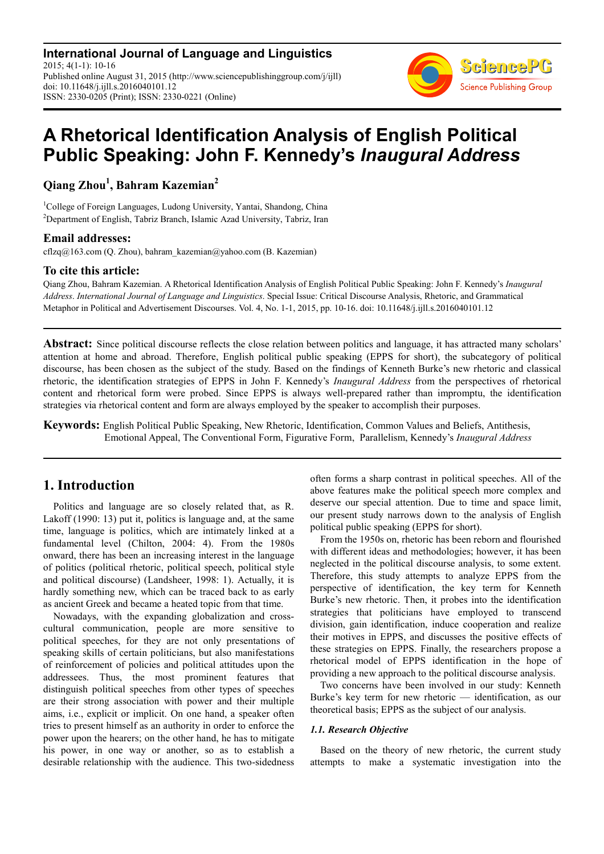**International Journal of Language and Linguistics** 2015; 4(1-1): 10-16 Published online August 31, 2015 (http://www.sciencepublishinggroup.com/j/ijll) doi: 10.11648/j.ijll.s.2016040101.12 ISSN: 2330-0205 (Print); ISSN: 2330-0221 (Online)



# **A Rhetorical Identification Analysis of English Political Public Speaking: John F. Kennedy's** *Inaugural Address*

**Qiang Zhou<sup>1</sup> , Bahram Kazemian<sup>2</sup>**

<sup>1</sup>College of Foreign Languages, Ludong University, Yantai, Shandong, China <sup>2</sup>Department of English, Tabriz Branch, Islamic Azad University, Tabriz, Iran

### **Email addresses:**

cflzq@163.com (Q. Zhou), bahram\_kazemian@yahoo.com (B. Kazemian)

## **To cite this article:**

Qiang Zhou, Bahram Kazemian. A Rhetorical Identification Analysis of English Political Public Speaking: John F. Kennedy's *Inaugural Address*. *International Journal of Language and Linguistics*. Special Issue: Critical Discourse Analysis, Rhetoric, and Grammatical Metaphor in Political and Advertisement Discourses. Vol. 4, No. 1-1, 2015, pp. 10-16. doi: 10.11648/j.ijll.s.2016040101.12

**Abstract:** Since political discourse reflects the close relation between politics and language, it has attracted many scholars' attention at home and abroad. Therefore, English political public speaking (EPPS for short), the subcategory of political discourse, has been chosen as the subject of the study. Based on the findings of Kenneth Burke's new rhetoric and classical rhetoric, the identification strategies of EPPS in John F. Kennedy's *Inaugural Address* from the perspectives of rhetorical content and rhetorical form were probed. Since EPPS is always well-prepared rather than impromptu, the identification strategies via rhetorical content and form are always employed by the speaker to accomplish their purposes.

**Keywords:** English Political Public Speaking, New Rhetoric, Identification, Common Values and Beliefs, Antithesis, Emotional Appeal, The Conventional Form, Figurative Form, Parallelism, Kennedy's *Inaugural Address* 

## **1. Introduction**

Politics and language are so closely related that, as R. Lakoff (1990: 13) put it, politics is language and, at the same time, language is politics, which are intimately linked at a fundamental level (Chilton, 2004: 4). From the 1980s onward, there has been an increasing interest in the language of politics (political rhetoric, political speech, political style and political discourse) (Landsheer, 1998: 1). Actually, it is hardly something new, which can be traced back to as early as ancient Greek and became a heated topic from that time.

Nowadays, with the expanding globalization and crosscultural communication, people are more sensitive to political speeches, for they are not only presentations of speaking skills of certain politicians, but also manifestations of reinforcement of policies and political attitudes upon the addressees. Thus, the most prominent features that distinguish political speeches from other types of speeches are their strong association with power and their multiple aims, i.e., explicit or implicit. On one hand, a speaker often tries to present himself as an authority in order to enforce the power upon the hearers; on the other hand, he has to mitigate his power, in one way or another, so as to establish a desirable relationship with the audience. This two-sidedness often forms a sharp contrast in political speeches. All of the above features make the political speech more complex and deserve our special attention. Due to time and space limit, our present study narrows down to the analysis of English political public speaking (EPPS for short).

From the 1950s on, rhetoric has been reborn and flourished with different ideas and methodologies; however, it has been neglected in the political discourse analysis, to some extent. Therefore, this study attempts to analyze EPPS from the perspective of identification, the key term for Kenneth Burke's new rhetoric. Then, it probes into the identification strategies that politicians have employed to transcend division, gain identification, induce cooperation and realize their motives in EPPS, and discusses the positive effects of these strategies on EPPS. Finally, the researchers propose a rhetorical model of EPPS identification in the hope of providing a new approach to the political discourse analysis.

Two concerns have been involved in our study: Kenneth Burke's key term for new rhetoric — identification, as our theoretical basis; EPPS as the subject of our analysis.

#### *1.1. Research Objective*

Based on the theory of new rhetoric, the current study attempts to make a systematic investigation into the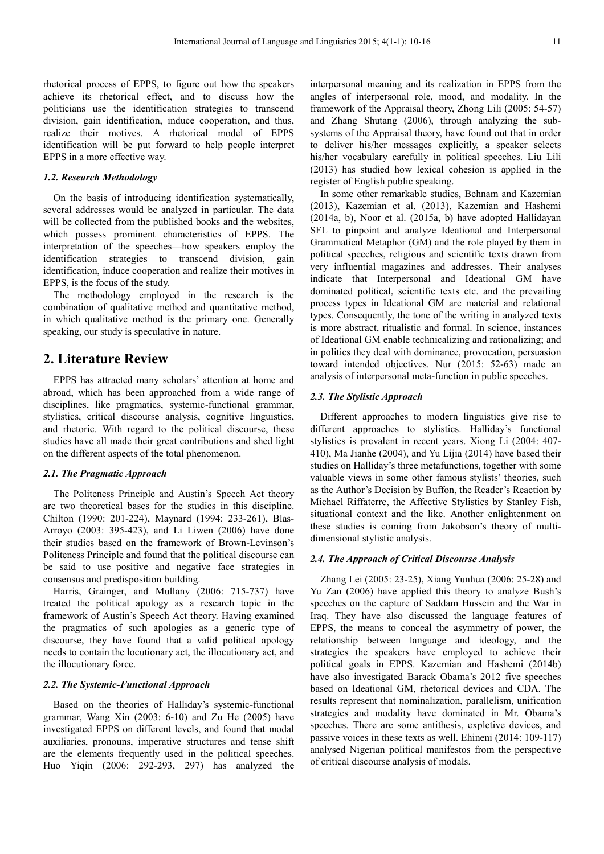rhetorical process of EPPS, to figure out how the speakers achieve its rhetorical effect, and to discuss how the politicians use the identification strategies to transcend division, gain identification, induce cooperation, and thus, realize their motives. A rhetorical model of EPPS identification will be put forward to help people interpret EPPS in a more effective way.

#### *1.2. Research Methodology*

On the basis of introducing identification systematically, several addresses would be analyzed in particular. The data will be collected from the published books and the websites. which possess prominent characteristics of EPPS. The interpretation of the speeches—how speakers employ the identification strategies to transcend division, gain identification, induce cooperation and realize their motives in EPPS, is the focus of the study.

The methodology employed in the research is the combination of qualitative method and quantitative method, in which qualitative method is the primary one. Generally speaking, our study is speculative in nature.

## **2. Literature Review**

EPPS has attracted many scholars' attention at home and abroad, which has been approached from a wide range of disciplines, like pragmatics, systemic-functional grammar, stylistics, critical discourse analysis, cognitive linguistics, and rhetoric. With regard to the political discourse, these studies have all made their great contributions and shed light on the different aspects of the total phenomenon.

#### *2.1. The Pragmatic Approach*

The Politeness Principle and Austin's Speech Act theory are two theoretical bases for the studies in this discipline. Chilton (1990: 201-224), Maynard (1994: 233-261), Blas-Arroyo (2003: 395-423), and Li Liwen (2006) have done their studies based on the framework of Brown-Levinson's Politeness Principle and found that the political discourse can be said to use positive and negative face strategies in consensus and predisposition building.

Harris, Grainger, and Mullany (2006: 715-737) have treated the political apology as a research topic in the framework of Austin's Speech Act theory. Having examined the pragmatics of such apologies as a generic type of discourse, they have found that a valid political apology needs to contain the locutionary act, the illocutionary act, and the illocutionary force.

#### *2.2. The Systemic-Functional Approach*

Based on the theories of Halliday's systemic-functional grammar, Wang Xin (2003: 6-10) and Zu He (2005) have investigated EPPS on different levels, and found that modal auxiliaries, pronouns, imperative structures and tense shift are the elements frequently used in the political speeches. Huo Yiqin (2006: 292-293, 297) has analyzed the interpersonal meaning and its realization in EPPS from the angles of interpersonal role, mood, and modality. In the framework of the Appraisal theory, Zhong Lili (2005: 54-57) and Zhang Shutang (2006), through analyzing the subsystems of the Appraisal theory, have found out that in order to deliver his/her messages explicitly, a speaker selects his/her vocabulary carefully in political speeches. Liu Lili (2013) has studied how lexical cohesion is applied in the register of English public speaking.

In some other remarkable studies, Behnam and Kazemian (2013), Kazemian et al. (2013), Kazemian and Hashemi (2014a, b), Noor et al. (2015a, b) have adopted Hallidayan SFL to pinpoint and analyze Ideational and Interpersonal Grammatical Metaphor (GM) and the role played by them in political speeches, religious and scientific texts drawn from very influential magazines and addresses. Their analyses indicate that Interpersonal and Ideational GM have dominated political, scientific texts etc. and the prevailing process types in Ideational GM are material and relational types. Consequently, the tone of the writing in analyzed texts is more abstract, ritualistic and formal. In science, instances of Ideational GM enable technicalizing and rationalizing; and in politics they deal with dominance, provocation, persuasion toward intended objectives. Nur (2015: 52-63) made an analysis of interpersonal meta-function in public speeches.

#### *2.3. The Stylistic Approach*

Different approaches to modern linguistics give rise to different approaches to stylistics. Halliday's functional stylistics is prevalent in recent years. Xiong Li (2004: 407- 410), Ma Jianhe (2004), and Yu Lijia (2014) have based their studies on Halliday's three metafunctions, together with some valuable views in some other famous stylists' theories, such as the Author's Decision by Buffon, the Reader's Reaction by Michael Riffaterre, the Affective Stylistics by Stanley Fish, situational context and the like. Another enlightenment on these studies is coming from Jakobson's theory of multidimensional stylistic analysis.

#### *2.4. The Approach of Critical Discourse Analysis*

Zhang Lei (2005: 23-25), Xiang Yunhua (2006: 25-28) and Yu Zan (2006) have applied this theory to analyze Bush's speeches on the capture of Saddam Hussein and the War in Iraq. They have also discussed the language features of EPPS, the means to conceal the asymmetry of power, the relationship between language and ideology, and the strategies the speakers have employed to achieve their political goals in EPPS. Kazemian and Hashemi (2014b) have also investigated Barack Obama's 2012 five speeches based on Ideational GM, rhetorical devices and CDA. The results represent that nominalization, parallelism, unification strategies and modality have dominated in Mr. Obama's speeches. There are some antithesis, expletive devices, and passive voices in these texts as well. Ehineni (2014: 109-117) analysed Nigerian political manifestos from the perspective of critical discourse analysis of modals.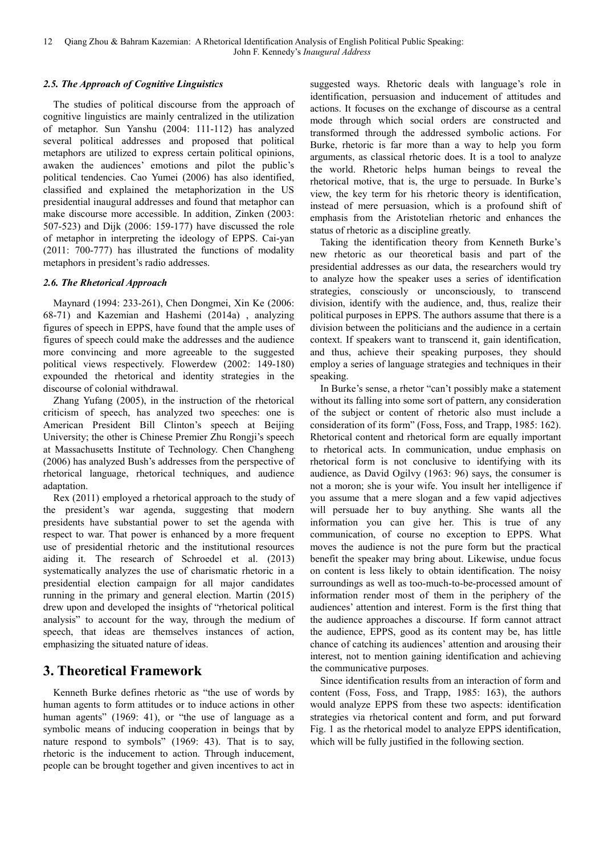### *2.5. The Approach of Cognitive Linguistics*

The studies of political discourse from the approach of cognitive linguistics are mainly centralized in the utilization of metaphor. Sun Yanshu (2004: 111-112) has analyzed several political addresses and proposed that political metaphors are utilized to express certain political opinions, awaken the audiences' emotions and pilot the public's political tendencies. Cao Yumei (2006) has also identified, classified and explained the metaphorization in the US presidential inaugural addresses and found that metaphor can make discourse more accessible. In addition, Zinken (2003: 507-523) and Dijk (2006: 159-177) have discussed the role of metaphor in interpreting the ideology of EPPS. Cai-yan (2011: 700-777) has illustrated the functions of modality metaphors in president's radio addresses.

### *2.6. The Rhetorical Approach*

Maynard (1994: 233-261), Chen Dongmei, Xin Ke (2006: 68-71) and Kazemian and Hashemi (2014a) , analyzing figures of speech in EPPS, have found that the ample uses of figures of speech could make the addresses and the audience more convincing and more agreeable to the suggested political views respectively. Flowerdew (2002: 149-180) expounded the rhetorical and identity strategies in the discourse of colonial withdrawal.

Zhang Yufang (2005), in the instruction of the rhetorical criticism of speech, has analyzed two speeches: one is American President Bill Clinton's speech at Beijing University; the other is Chinese Premier Zhu Rongji's speech at Massachusetts Institute of Technology. Chen Changheng (2006) has analyzed Bush's addresses from the perspective of rhetorical language, rhetorical techniques, and audience adaptation.

Rex (2011) employed a rhetorical approach to the study of the president's war agenda, suggesting that modern presidents have substantial power to set the agenda with respect to war. That power is enhanced by a more frequent use of presidential rhetoric and the institutional resources aiding it. The research of Schroedel et al. (2013) systematically analyzes the use of charismatic rhetoric in a presidential election campaign for all major candidates running in the primary and general election. Martin (2015) drew upon and developed the insights of "rhetorical political analysis" to account for the way, through the medium of speech, that ideas are themselves instances of action, emphasizing the situated nature of ideas.

## **3. Theoretical Framework**

Kenneth Burke defines rhetoric as "the use of words by human agents to form attitudes or to induce actions in other human agents" (1969: 41), or "the use of language as a symbolic means of inducing cooperation in beings that by nature respond to symbols" (1969: 43). That is to say, rhetoric is the inducement to action. Through inducement, people can be brought together and given incentives to act in

suggested ways. Rhetoric deals with language's role in identification, persuasion and inducement of attitudes and actions. It focuses on the exchange of discourse as a central mode through which social orders are constructed and transformed through the addressed symbolic actions. For Burke, rhetoric is far more than a way to help you form arguments, as classical rhetoric does. It is a tool to analyze the world. Rhetoric helps human beings to reveal the rhetorical motive, that is, the urge to persuade. In Burke's view, the key term for his rhetoric theory is identification, instead of mere persuasion, which is a profound shift of emphasis from the Aristotelian rhetoric and enhances the status of rhetoric as a discipline greatly.

Taking the identification theory from Kenneth Burke's new rhetoric as our theoretical basis and part of the presidential addresses as our data, the researchers would try to analyze how the speaker uses a series of identification strategies, consciously or unconsciously, to transcend division, identify with the audience, and, thus, realize their political purposes in EPPS. The authors assume that there is a division between the politicians and the audience in a certain context. If speakers want to transcend it, gain identification, and thus, achieve their speaking purposes, they should employ a series of language strategies and techniques in their speaking.

In Burke's sense, a rhetor "can't possibly make a statement without its falling into some sort of pattern, any consideration of the subject or content of rhetoric also must include a consideration of its form" (Foss, Foss, and Trapp, 1985: 162). Rhetorical content and rhetorical form are equally important to rhetorical acts. In communication, undue emphasis on rhetorical form is not conclusive to identifying with its audience, as David Ogilvy (1963: 96) says, the consumer is not a moron; she is your wife. You insult her intelligence if you assume that a mere slogan and a few vapid adjectives will persuade her to buy anything. She wants all the information you can give her. This is true of any communication, of course no exception to EPPS. What moves the audience is not the pure form but the practical benefit the speaker may bring about. Likewise, undue focus on content is less likely to obtain identification. The noisy surroundings as well as too-much-to-be-processed amount of information render most of them in the periphery of the audiences' attention and interest. Form is the first thing that the audience approaches a discourse. If form cannot attract the audience, EPPS, good as its content may be, has little chance of catching its audiences' attention and arousing their interest, not to mention gaining identification and achieving the communicative purposes.

Since identification results from an interaction of form and content (Foss, Foss, and Trapp, 1985: 163), the authors would analyze EPPS from these two aspects: identification strategies via rhetorical content and form, and put forward Fig. 1 as the rhetorical model to analyze EPPS identification, which will be fully justified in the following section.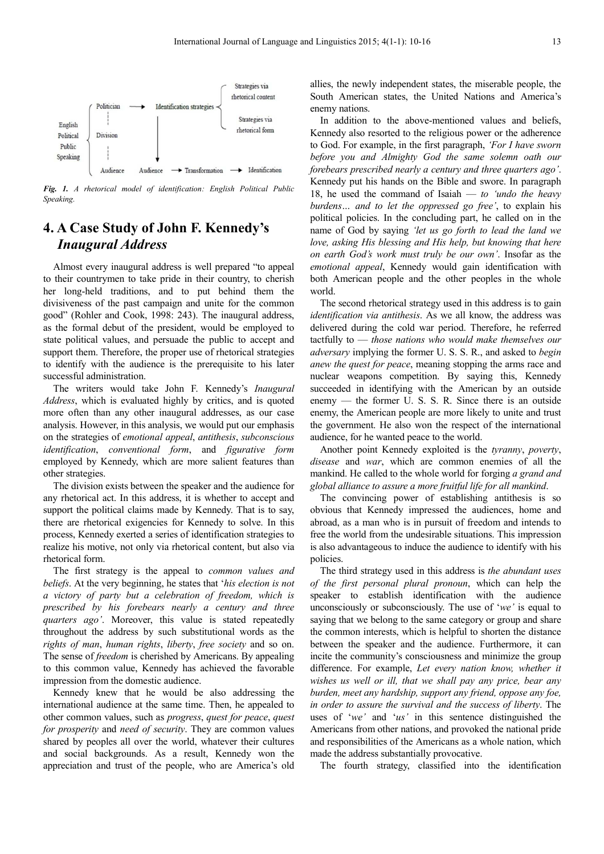

*Fig. 1. A rhetorical model of identification: English Political Public Speaking.* 

## **4. A Case Study of John F. Kennedy's**  *Inaugural Address*

Almost every inaugural address is well prepared "to appeal to their countrymen to take pride in their country, to cherish her long-held traditions, and to put behind them the divisiveness of the past campaign and unite for the common good" (Rohler and Cook, 1998: 243). The inaugural address, as the formal debut of the president, would be employed to state political values, and persuade the public to accept and support them. Therefore, the proper use of rhetorical strategies to identify with the audience is the prerequisite to his later successful administration.

The writers would take John F. Kennedy's *Inaugural Address*, which is evaluated highly by critics, and is quoted more often than any other inaugural addresses, as our case analysis. However, in this analysis, we would put our emphasis on the strategies of *emotional appeal*, *antithesis*, *subconscious identification*, *conventional form*, and *figurative form* employed by Kennedy, which are more salient features than other strategies.

The division exists between the speaker and the audience for any rhetorical act. In this address, it is whether to accept and support the political claims made by Kennedy. That is to say, there are rhetorical exigencies for Kennedy to solve. In this process, Kennedy exerted a series of identification strategies to realize his motive, not only via rhetorical content, but also via rhetorical form.

The first strategy is the appeal to *common values and beliefs*. At the very beginning, he states that '*his election is not a victory of party but a celebration of freedom, which is prescribed by his forebears nearly a century and three quarters ago'*. Moreover, this value is stated repeatedly throughout the address by such substitutional words as the *rights of man*, *human rights*, *liberty*, *free society* and so on. The sense of *freedom* is cherished by Americans. By appealing to this common value, Kennedy has achieved the favorable impression from the domestic audience.

Kennedy knew that he would be also addressing the international audience at the same time. Then, he appealed to other common values, such as *progress*, *quest for peace*, *quest for prosperity* and *need of security*. They are common values shared by peoples all over the world, whatever their cultures and social backgrounds. As a result, Kennedy won the appreciation and trust of the people, who are America's old

allies, the newly independent states, the miserable people, the South American states, the United Nations and America's enemy nations.

In addition to the above-mentioned values and beliefs, Kennedy also resorted to the religious power or the adherence to God. For example, in the first paragraph, *'For I have sworn before you and Almighty God the same solemn oath our forebears prescribed nearly a century and three quarters ago'*. Kennedy put his hands on the Bible and swore. In paragraph 18, he used the command of Isaiah — *to 'undo the heavy burdens… and to let the oppressed go free'*, to explain his political policies. In the concluding part, he called on in the name of God by saying *'let us go forth to lead the land we love, asking His blessing and His help, but knowing that here on earth God's work must truly be our own'*. Insofar as the *emotional appeal*, Kennedy would gain identification with both American people and the other peoples in the whole world.

The second rhetorical strategy used in this address is to gain *identification via antithesis*. As we all know, the address was delivered during the cold war period. Therefore, he referred tactfully to — *those nations who would make themselves our adversary* implying the former U. S. S. R., and asked to *begin anew the quest for peace*, meaning stopping the arms race and nuclear weapons competition. By saying this, Kennedy succeeded in identifying with the American by an outside enemy — the former U. S. S. R. Since there is an outside enemy, the American people are more likely to unite and trust the government. He also won the respect of the international audience, for he wanted peace to the world.

Another point Kennedy exploited is the *tyranny*, *poverty*, *disease* and *war*, which are common enemies of all the mankind. He called to the whole world for forging *a grand and global alliance to assure a more fruitful life for all mankind*.

The convincing power of establishing antithesis is so obvious that Kennedy impressed the audiences, home and abroad, as a man who is in pursuit of freedom and intends to free the world from the undesirable situations. This impression is also advantageous to induce the audience to identify with his policies.

The third strategy used in this address is *the abundant uses of the first personal plural pronoun*, which can help the speaker to establish identification with the audience unconsciously or subconsciously. The use of '*we'* is equal to saying that we belong to the same category or group and share the common interests, which is helpful to shorten the distance between the speaker and the audience. Furthermore, it can incite the community's consciousness and minimize the group difference. For example, *Let every nation know, whether it wishes us well or ill, that we shall pay any price, bear any burden, meet any hardship, support any friend, oppose any foe, in order to assure the survival and the success of liberty*. The uses of '*we'* and '*us'* in this sentence distinguished the Americans from other nations, and provoked the national pride and responsibilities of the Americans as a whole nation, which made the address substantially provocative.

The fourth strategy, classified into the identification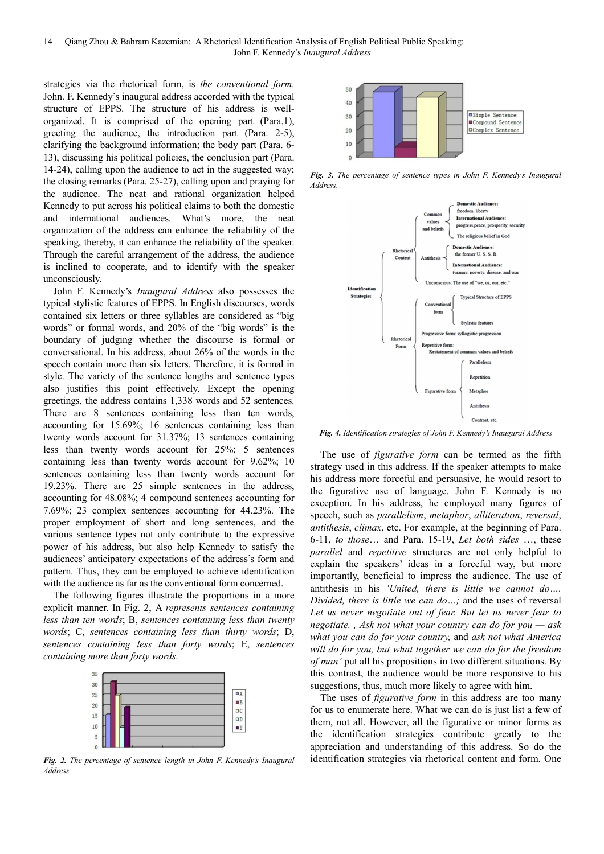14 Qiang Zhou & Bahram Kazemian: A Rhetorical Identification Analysis of English Political Public Speaking: John F. Kennedy's *Inaugural Address*

strategies via the rhetorical form, is *the conventional form*. John. F. Kennedy's inaugural address accorded with the typical structure of EPPS. The structure of his address is wellorganized. It is comprised of the opening part (Para.1), greeting the audience, the introduction part (Para. 2-5), clarifying the background information; the body part (Para. 6- 13), discussing his political policies, the conclusion part (Para. 14-24), calling upon the audience to act in the suggested way; the closing remarks (Para. 25-27), calling upon and praying for the audience. The neat and rational organization helped Kennedy to put across his political claims to both the domestic and international audiences. What's more, the neat organization of the address can enhance the reliability of the speaking, thereby, it can enhance the reliability of the speaker. Through the careful arrangement of the address, the audience is inclined to cooperate, and to identify with the speaker unconsciously.

John F. Kennedy's *Inaugural Address* also possesses the typical stylistic features of EPPS. In English discourses, words contained six letters or three syllables are considered as "big words" or formal words, and 20% of the "big words" is the boundary of judging whether the discourse is formal or conversational. In his address, about 26% of the words in the speech contain more than six letters. Therefore, it is formal in style. The variety of the sentence lengths and sentence types also justifies this point effectively. Except the opening greetings, the address contains 1,338 words and 52 sentences. There are 8 sentences containing less than ten words, accounting for 15.69%; 16 sentences containing less than twenty words account for 31.37%; 13 sentences containing less than twenty words account for 25%; 5 sentences containing less than twenty words account for 9.62%; 10 sentences containing less than twenty words account for 19.23%. There are 25 simple sentences in the address, accounting for 48.08%; 4 compound sentences accounting for 7.69%; 23 complex sentences accounting for 44.23%. The proper employment of short and long sentences, and the various sentence types not only contribute to the expressive power of his address, but also help Kennedy to satisfy the audiences' anticipatory expectations of the address's form and pattern. Thus, they can be employed to achieve identification with the audience as far as the conventional form concerned.

The following figures illustrate the proportions in a more explicit manner. In Fig. 2, A *represents sentences containing less than ten words*; B, *sentences containing less than twenty words*; C, *sentences containing less than thirty words*; D, *sentences containing less than forty words*; E, *sentences containing more than forty words*.



*Fig. 2. The percentage of sentence length in John F. Kennedy's Inaugural Address.* 



*Fig. 3. The percentage of sentence types in John F. Kennedy's Inaugural Address.* 



*Fig. 4. Identification strategies of John F. Kennedy's Inaugural Address* 

The use of *figurative form* can be termed as the fifth strategy used in this address. If the speaker attempts to make his address more forceful and persuasive, he would resort to the figurative use of language. John F. Kennedy is no exception. In his address, he employed many figures of speech, such as *parallelism*, *metaphor*, *alliteration*, *reversal*, *antithesis*, *climax*, etc. For example, at the beginning of Para. 6-11, *to those*… and Para. 15-19, *Let both sides* …, these *parallel* and *repetitive* structures are not only helpful to explain the speakers' ideas in a forceful way, but more importantly, beneficial to impress the audience. The use of antithesis in his *'United, there is little we cannot do…. Divided, there is little we can do…;* and the uses of reversal *Let us never negotiate out of fear. But let us never fear to negotiate. , Ask not what your country can do for you — ask what you can do for your country,* and *ask not what America will do for you, but what together we can do for the freedom of man'* put all his propositions in two different situations. By this contrast, the audience would be more responsive to his suggestions, thus, much more likely to agree with him.

The uses of *figurative form* in this address are too many for us to enumerate here. What we can do is just list a few of them, not all. However, all the figurative or minor forms as the identification strategies contribute greatly to the appreciation and understanding of this address. So do the identification strategies via rhetorical content and form. One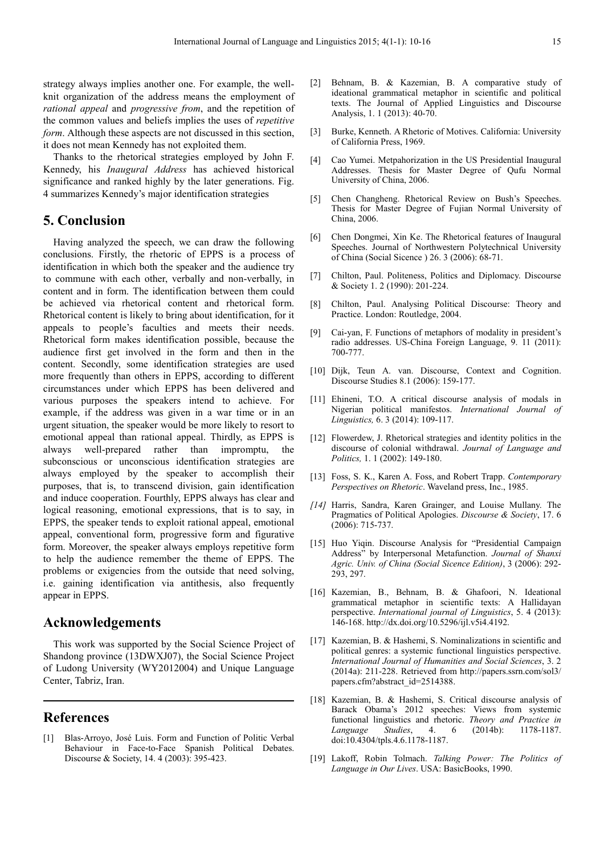strategy always implies another one. For example, the wellknit organization of the address means the employment of *rational appeal* and *progressive from*, and the repetition of the common values and beliefs implies the uses of *repetitive form*. Although these aspects are not discussed in this section, it does not mean Kennedy has not exploited them.

Thanks to the rhetorical strategies employed by John F. Kennedy, his *Inaugural Address* has achieved historical significance and ranked highly by the later generations. Fig. 4 summarizes Kennedy's major identification strategies

## **5. Conclusion**

Having analyzed the speech, we can draw the following conclusions. Firstly, the rhetoric of EPPS is a process of identification in which both the speaker and the audience try to commune with each other, verbally and non-verbally, in content and in form. The identification between them could be achieved via rhetorical content and rhetorical form. Rhetorical content is likely to bring about identification, for it appeals to people's faculties and meets their needs. Rhetorical form makes identification possible, because the audience first get involved in the form and then in the content. Secondly, some identification strategies are used more frequently than others in EPPS, according to different circumstances under which EPPS has been delivered and various purposes the speakers intend to achieve. For example, if the address was given in a war time or in an urgent situation, the speaker would be more likely to resort to emotional appeal than rational appeal. Thirdly, as EPPS is always well-prepared rather than impromptu, the subconscious or unconscious identification strategies are always employed by the speaker to accomplish their purposes, that is, to transcend division, gain identification and induce cooperation. Fourthly, EPPS always has clear and logical reasoning, emotional expressions, that is to say, in EPPS, the speaker tends to exploit rational appeal, emotional appeal, conventional form, progressive form and figurative form. Moreover, the speaker always employs repetitive form to help the audience remember the theme of EPPS. The problems or exigencies from the outside that need solving, i.e. gaining identification via antithesis, also frequently appear in EPPS.

## **Acknowledgements**

This work was supported by the Social Science Project of Shandong province (13DWXJ07), the Social Science Project of Ludong University (WY2012004) and Unique Language Center, Tabriz, Iran.

## **References**

[1] Blas-Arroyo, José Luis. Form and Function of Politic Verbal Behaviour in Face-to-Face Spanish Political Debates. Discourse & Society, 14. 4 (2003): 395-423.

- [2] Behnam, B. & Kazemian, B. A comparative study of ideational grammatical metaphor in scientific and political texts. The Journal of Applied Linguistics and Discourse Analysis, 1. 1 (2013): 40-70.
- [3] Burke, Kenneth. A Rhetoric of Motives. California: University of California Press, 1969.
- [4] Cao Yumei. Metpahorization in the US Presidential Inaugural Addresses. Thesis for Master Degree of Qufu Normal University of China, 2006.
- [5] Chen Changheng. Rhetorical Review on Bush's Speeches. Thesis for Master Degree of Fujian Normal University of China, 2006.
- [6] Chen Dongmei, Xin Ke. The Rhetorical features of Inaugural Speeches. Journal of Northwestern Polytechnical University of China (Social Sicence ) 26. 3 (2006): 68-71.
- [7] Chilton, Paul. Politeness, Politics and Diplomacy. Discourse & Society 1. 2 (1990): 201-224.
- [8] Chilton, Paul. Analysing Political Discourse: Theory and Practice. London: Routledge, 2004.
- [9] Cai-yan, F. Functions of metaphors of modality in president's radio addresses. US-China Foreign Language, 9. 11 (2011): 700-777.
- [10] Dijk, Teun A. van. Discourse, Context and Cognition. Discourse Studies 8.1 (2006): 159-177.
- [11] Ehineni, T.O. A critical discourse analysis of modals in Nigerian political manifestos. *International Journal of Linguistics,* 6. 3 (2014): 109-117.
- [12] Flowerdew, J. Rhetorical strategies and identity politics in the discourse of colonial withdrawal. *Journal of Language and Politics,* 1. 1 (2002): 149-180.
- [13] Foss, S. K., Karen A. Foss, and Robert Trapp. *Contemporary Perspectives on Rhetoric*. Waveland press, Inc., 1985.
- *[14]* Harris, Sandra, Karen Grainger, and Louise Mullany. The Pragmatics of Political Apologies. *Discourse & Society*, 17. 6 (2006): 715-737.
- [15] Huo Yiqin. Discourse Analysis for "Presidential Campaign Address" by Interpersonal Metafunction. *Journal of Shanxi Agric. Univ. of China (Social Sicence Edition)*, 3 (2006): 292- 293, 297.
- [16] Kazemian, B., Behnam, B. & Ghafoori, N. Ideational grammatical metaphor in scientific texts: A Hallidayan perspective. *International journal of Linguistics*, 5. 4 (2013): 146-168. http://dx.doi.org/10.5296/ijl.v5i4.4192.
- [17] Kazemian, B. & Hashemi, S. Nominalizations in scientific and political genres: a systemic functional linguistics perspective. *International Journal of Humanities and Social Sciences*, 3. 2 (2014a): 211-228. Retrieved from http://papers.ssrn.com/sol3/ papers.cfm?abstract\_id=2514388.
- [18] Kazemian, B. & Hashemi, S. Critical discourse analysis of Barack Obama's 2012 speeches: Views from systemic functional linguistics and rhetoric. *Theory and Practice in Language Studies*, 4. 6 (2014b): 1178-1187. doi:10.4304/tpls.4.6.1178-1187.
- [19] Lakoff, Robin Tolmach. *Talking Power: The Politics of Language in Our Lives*. USA: BasicBooks, 1990.